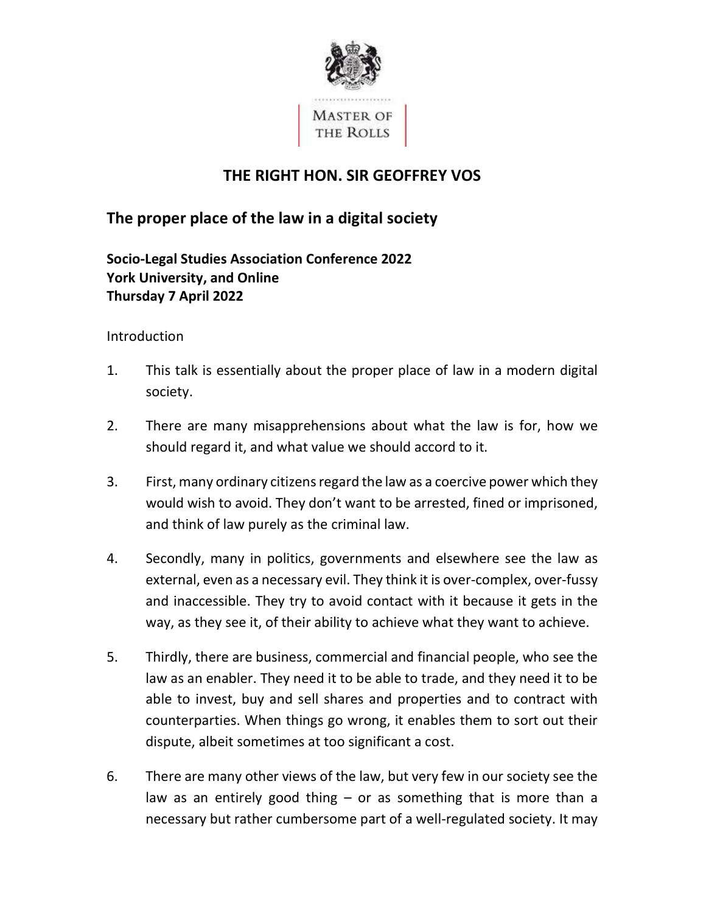

# THE RIGHT HON. SIR GEOFFREY VOS

# The proper place of the law in a digital society

## Socio-Legal Studies Association Conference 2022 York University, and Online Thursday 7 April 2022

### Introduction

- 1. This talk is essentially about the proper place of law in a modern digital society.
- 2. There are many misapprehensions about what the law is for, how we should regard it, and what value we should accord to it.
- 3. First, many ordinary citizens regard the law as a coercive power which they would wish to avoid. They don't want to be arrested, fined or imprisoned, and think of law purely as the criminal law.
- 4. Secondly, many in politics, governments and elsewhere see the law as external, even as a necessary evil. They think it is over-complex, over-fussy and inaccessible. They try to avoid contact with it because it gets in the way, as they see it, of their ability to achieve what they want to achieve.
- 5. Thirdly, there are business, commercial and financial people, who see the law as an enabler. They need it to be able to trade, and they need it to be able to invest, buy and sell shares and properties and to contract with counterparties. When things go wrong, it enables them to sort out their dispute, albeit sometimes at too significant a cost.
- 6. There are many other views of the law, but very few in our society see the law as an entirely good thing – or as something that is more than a necessary but rather cumbersome part of a well-regulated society. It may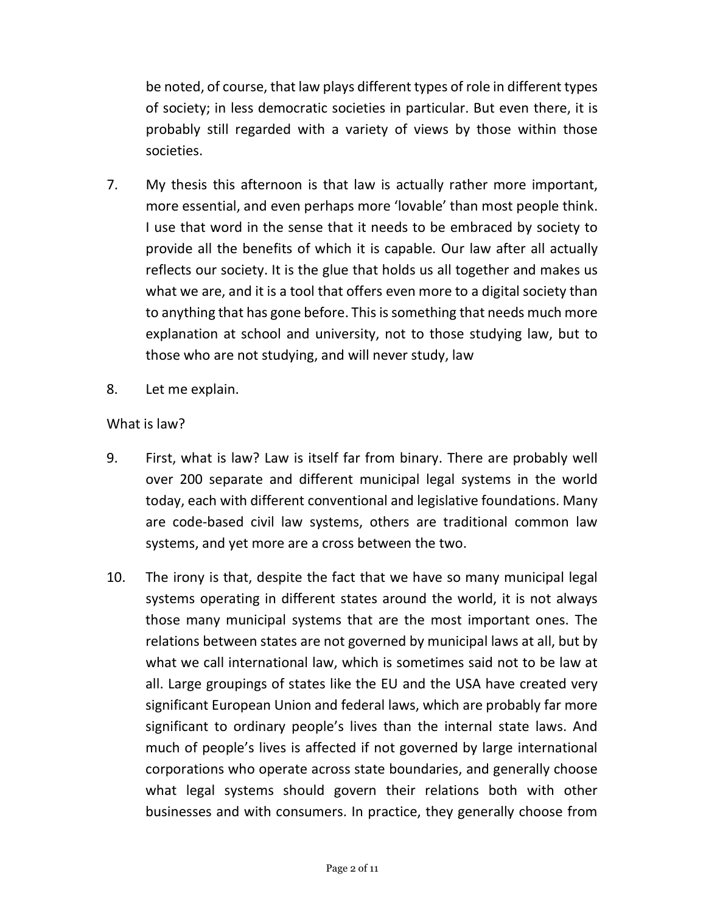be noted, of course, that law plays different types of role in different types of society; in less democratic societies in particular. But even there, it is probably still regarded with a variety of views by those within those societies.

- 7. My thesis this afternoon is that law is actually rather more important, more essential, and even perhaps more 'lovable' than most people think. I use that word in the sense that it needs to be embraced by society to provide all the benefits of which it is capable. Our law after all actually reflects our society. It is the glue that holds us all together and makes us what we are, and it is a tool that offers even more to a digital society than to anything that has gone before. This is something that needs much more explanation at school and university, not to those studying law, but to those who are not studying, and will never study, law
- 8. Let me explain.

#### What is law?

- 9. First, what is law? Law is itself far from binary. There are probably well over 200 separate and different municipal legal systems in the world today, each with different conventional and legislative foundations. Many are code-based civil law systems, others are traditional common law systems, and yet more are a cross between the two.
- 10. The irony is that, despite the fact that we have so many municipal legal systems operating in different states around the world, it is not always those many municipal systems that are the most important ones. The relations between states are not governed by municipal laws at all, but by what we call international law, which is sometimes said not to be law at all. Large groupings of states like the EU and the USA have created very significant European Union and federal laws, which are probably far more much of people's lives is affected if not governed by large international corporations who operate across state boundaries, and generally choose what legal systems should govern their relations both with other businesses and with consumers. In practice, they generally choose from significant to ordinary people's lives than the internal state laws. And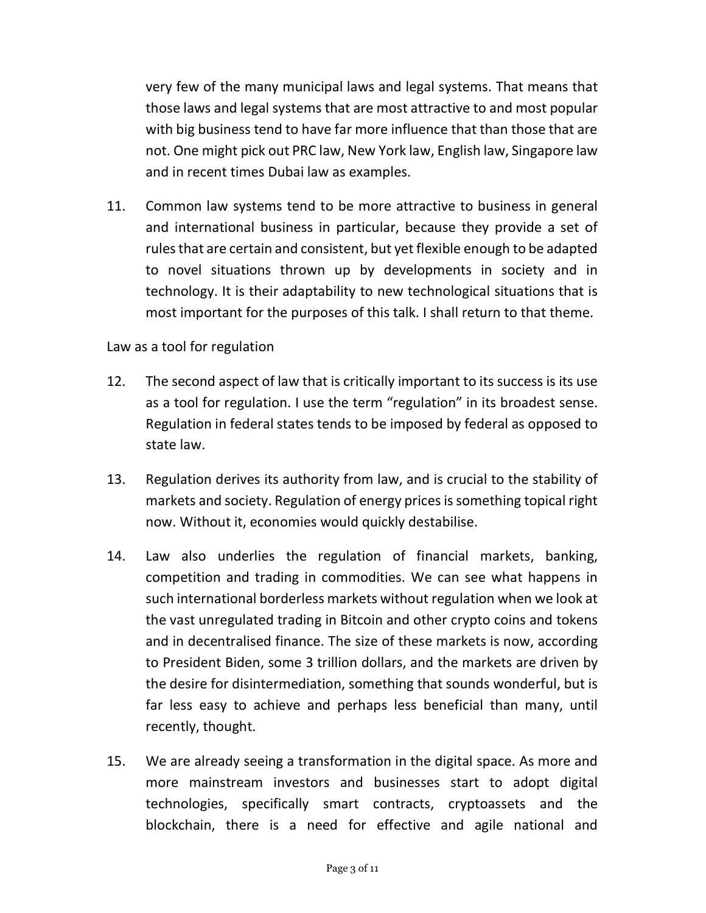very few of the many municipal laws and legal systems. That means that those laws and legal systems that are most attractive to and most popular with big business tend to have far more influence that than those that are not. One might pick out PRC law, New York law, English law, Singapore law and in recent times Dubai law as examples.

 11. Common law systems tend to be more attractive to business in general and international business in particular, because they provide a set of rules that are certain and consistent, but yet flexible enough to be adapted to novel situations thrown up by developments in society and in technology. It is their adaptability to new technological situations that is most important for the purposes of this talk. I shall return to that theme.

#### Law as a tool for regulation

- 12. The second aspect of law that is critically important to its success is its use as a tool for regulation. I use the term "regulation" in its broadest sense. Regulation in federal states tends to be imposed by federal as opposed to state law.
- 13. Regulation derives its authority from law, and is crucial to the stability of markets and society. Regulation of energy prices is something topical right now. Without it, economies would quickly destabilise.
- 14. Law also underlies the regulation of financial markets, banking, competition and trading in commodities. We can see what happens in such international borderless markets without regulation when we look at the vast unregulated trading in Bitcoin and other crypto coins and tokens and in decentralised finance. The size of these markets is now, according to President Biden, some 3 trillion dollars, and the markets are driven by the desire for disintermediation, something that sounds wonderful, but is far less easy to achieve and perhaps less beneficial than many, until recently, thought.
- 15. We are already seeing a transformation in the digital space. As more and more mainstream investors and businesses start to adopt digital technologies, specifically smart contracts, cryptoassets and the blockchain, there is a need for effective and agile national and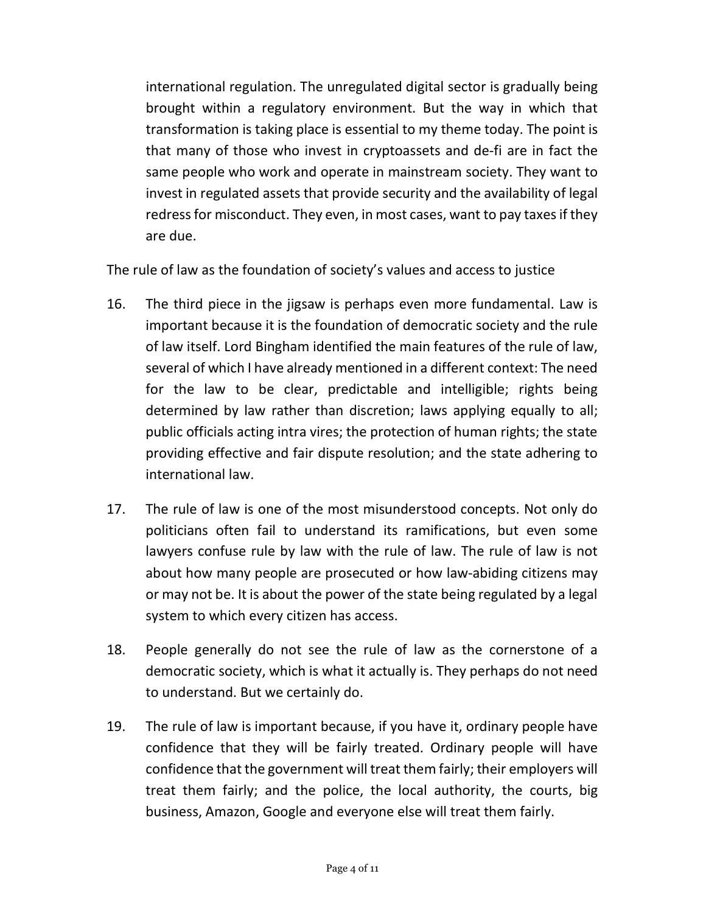international regulation. The unregulated digital sector is gradually being brought within a regulatory environment. But the way in which that transformation is taking place is essential to my theme today. The point is that many of those who invest in cryptoassets and de-fi are in fact the same people who work and operate in mainstream society. They want to invest in regulated assets that provide security and the availability of legal redress for misconduct. They even, in most cases, want to pay taxes if they are due.

The rule of law as the foundation of society's values and access to justice

- 16. The third piece in the jigsaw is perhaps even more fundamental. Law is important because it is the foundation of democratic society and the rule of law itself. Lord Bingham identified the main features of the rule of law, several of which I have already mentioned in a different context: The need for the law to be clear, predictable and intelligible; rights being determined by law rather than discretion; laws applying equally to all; public officials acting intra vires; the protection of human rights; the state providing effective and fair dispute resolution; and the state adhering to international law.
- 17. The rule of law is one of the most misunderstood concepts. Not only do politicians often fail to understand its ramifications, but even some lawyers confuse rule by law with the rule of law. The rule of law is not about how many people are prosecuted or how law-abiding citizens may or may not be. It is about the power of the state being regulated by a legal system to which every citizen has access.
- 18. People generally do not see the rule of law as the cornerstone of a democratic society, which is what it actually is. They perhaps do not need to understand. But we certainly do.
- 19. The rule of law is important because, if you have it, ordinary people have confidence that they will be fairly treated. Ordinary people will have treat them fairly; and the police, the local authority, the courts, big business, Amazon, Google and everyone else will treat them fairly. confidence that the government will treat them fairly; their employers will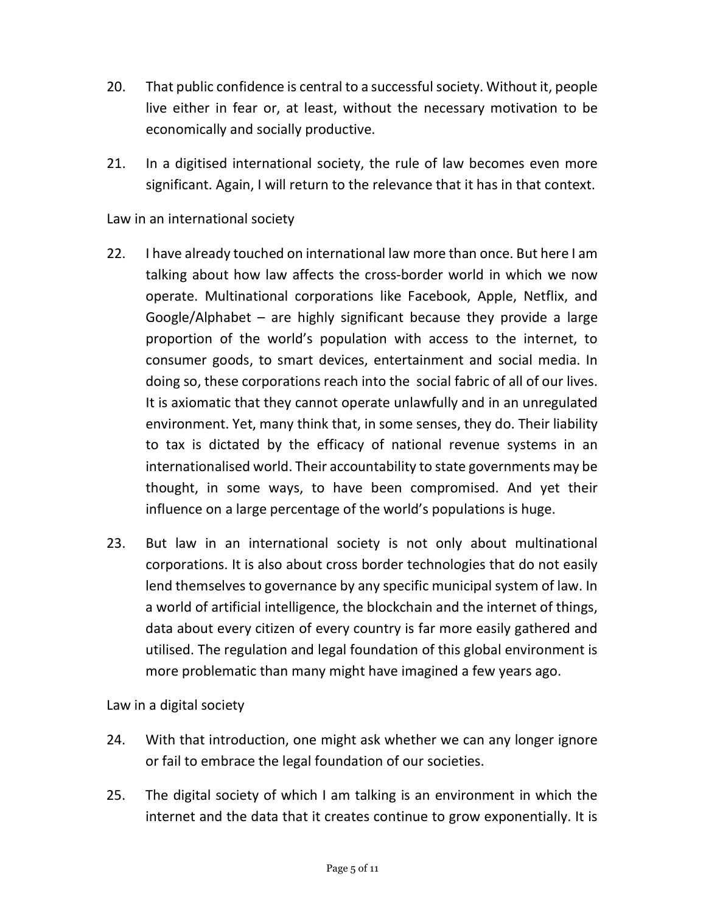- 20. That public confidence is central to a successful society. Without it, people live either in fear or, at least, without the necessary motivation to be economically and socially productive.
- 21. In a digitised international society, the rule of law becomes even more significant. Again, I will return to the relevance that it has in that context.

### Law in an international society

- 22. I have already touched on international law more than once. But here I am talking about how law affects the cross-border world in which we now operate. Multinational corporations like Facebook, Apple, Netflix, and Google/Alphabet – are highly significant because they provide a large proportion of the world's population with access to the internet, to consumer goods, to smart devices, entertainment and social media. In doing so, these corporations reach into the social fabric of all of our lives. It is axiomatic that they cannot operate unlawfully and in an unregulated environment. Yet, many think that, in some senses, they do. Their liability to tax is dictated by the efficacy of national revenue systems in an internationalised world. Their accountability to state governments may be thought, in some ways, to have been compromised. And yet their influence on a large percentage of the world's populations is huge.
- 23. But law in an international society is not only about multinational corporations. It is also about cross border technologies that do not easily lend themselves to governance by any specific municipal system of law. In a world of artificial intelligence, the blockchain and the internet of things, data about every citizen of every country is far more easily gathered and utilised. The regulation and legal foundation of this global environment is more problematic than many might have imagined a few years ago.

Law in a digital society

- 24. With that introduction, one might ask whether we can any longer ignore or fail to embrace the legal foundation of our societies.
- 25. The digital society of which I am talking is an environment in which the internet and the data that it creates continue to grow exponentially. It is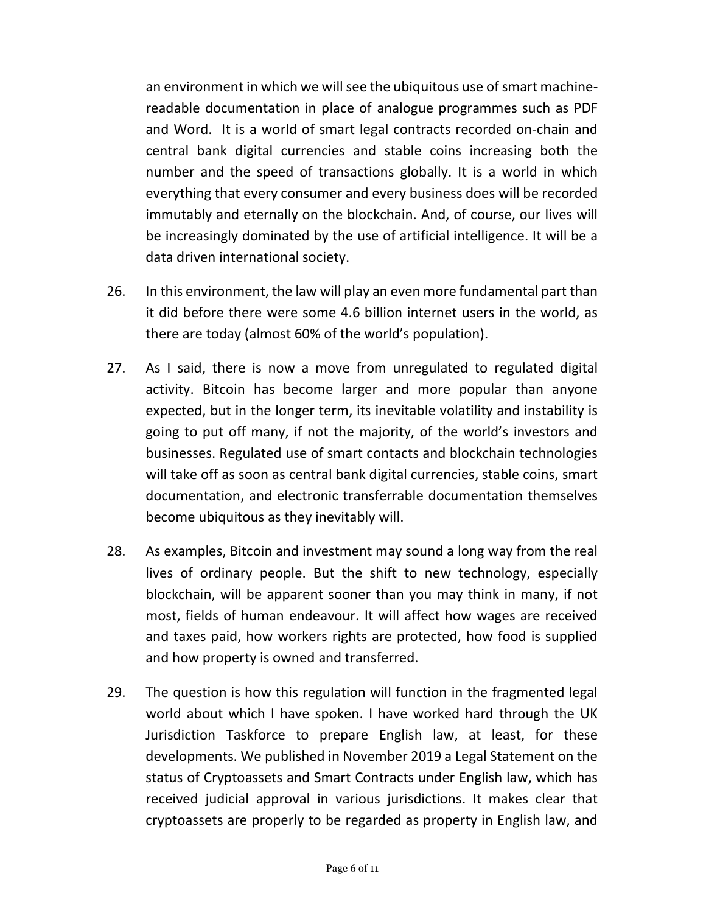an environment in which we will see the ubiquitous use of smart machine- readable documentation in place of analogue programmes such as PDF and Word. It is a world of smart legal contracts recorded on-chain and central bank digital currencies and stable coins increasing both the number and the speed of transactions globally. It is a world in which everything that every consumer and every business does will be recorded immutably and eternally on the blockchain. And, of course, our lives will be increasingly dominated by the use of artificial intelligence. It will be a data driven international society.

- 26. In this environment, the law will play an even more fundamental part than it did before there were some 4.6 billion internet users in the world, as there are today (almost 60% of the world's population).
- 27. As I said, there is now a move from unregulated to regulated digital activity. Bitcoin has become larger and more popular than anyone expected, but in the longer term, its inevitable volatility and instability is going to put off many, if not the majority, of the world's investors and businesses. Regulated use of smart contacts and blockchain technologies will take off as soon as central bank digital currencies, stable coins, smart documentation, and electronic transferrable documentation themselves become ubiquitous as they inevitably will.
- 28. As examples, Bitcoin and investment may sound a long way from the real lives of ordinary people. But the shift to new technology, especially blockchain, will be apparent sooner than you may think in many, if not most, fields of human endeavour. It will affect how wages are received and taxes paid, how workers rights are protected, how food is supplied and how property is owned and transferred.
- 29. The question is how this regulation will function in the fragmented legal world about which I have spoken. I have worked hard through the UK Jurisdiction Taskforce to prepare English law, at least, for these developments. We published in November 2019 a Legal Statement on the status of Cryptoassets and Smart Contracts under English law, which has received judicial approval in various jurisdictions. It makes clear that cryptoassets are properly to be regarded as property in English law, and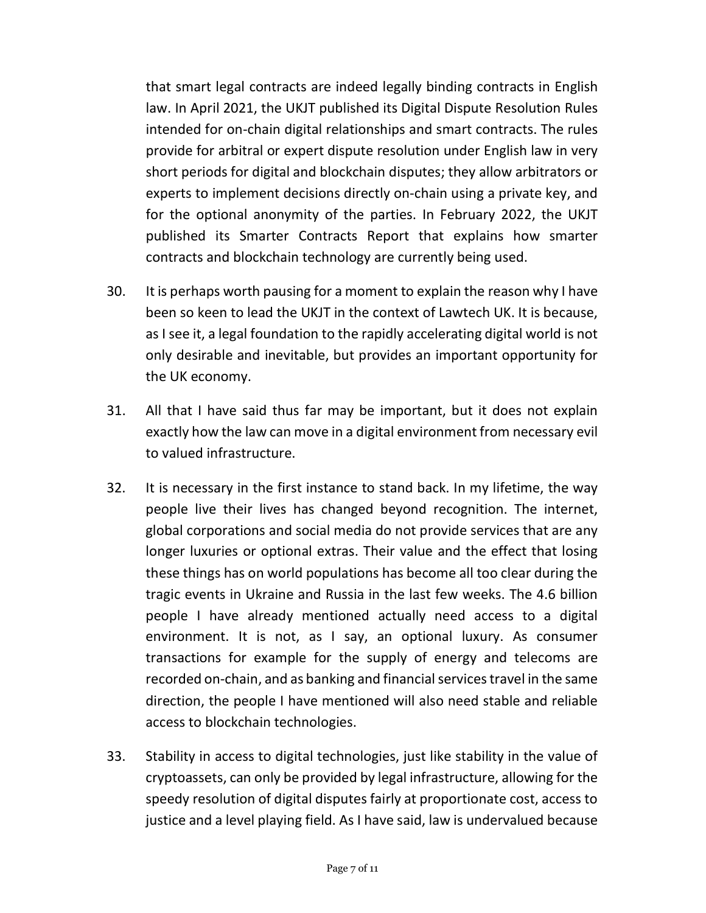that smart legal contracts are indeed legally binding contracts in English law. In April 2021, the UKJT published its Digital Dispute Resolution Rules intended for on-chain digital relationships and smart contracts. The rules provide for arbitral or expert dispute resolution under English law in very short periods for digital and blockchain disputes; they allow arbitrators or experts to implement decisions directly on-chain using a private key, and for the optional anonymity of the parties. In February 2022, the UKJT published its Smarter Contracts Report that explains how smarter contracts and blockchain technology are currently being used.

- 30. It is perhaps worth pausing for a moment to explain the reason why I have been so keen to lead the UKJT in the context of Lawtech UK. It is because, as I see it, a legal foundation to the rapidly accelerating digital world is not only desirable and inevitable, but provides an important opportunity for the UK economy.
- 31. All that I have said thus far may be important, but it does not explain exactly how the law can move in a digital environment from necessary evil to valued infrastructure.
- 32. It is necessary in the first instance to stand back. In my lifetime, the way people live their lives has changed beyond recognition. The internet, global corporations and social media do not provide services that are any longer luxuries or optional extras. Their value and the effect that losing these things has on world populations has become all too clear during the tragic events in Ukraine and Russia in the last few weeks. The 4.6 billion people I have already mentioned actually need access to a digital environment. It is not, as I say, an optional luxury. As consumer transactions for example for the supply of energy and telecoms are recorded on-chain, and as banking and financial services travel in the same direction, the people I have mentioned will also need stable and reliable access to blockchain technologies.
- 33. Stability in access to digital technologies, just like stability in the value of cryptoassets, can only be provided by legal infrastructure, allowing for the speedy resolution of digital disputes fairly at proportionate cost, access to justice and a level playing field. As I have said, law is undervalued because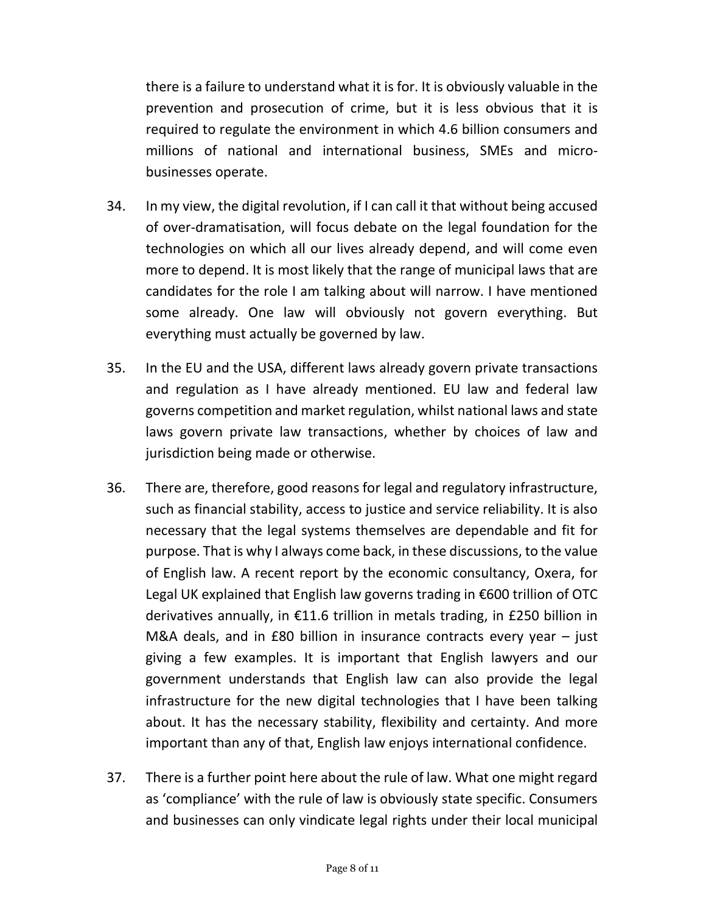there is a failure to understand what it is for. It is obviously valuable in the prevention and prosecution of crime, but it is less obvious that it is required to regulate the environment in which 4.6 billion consumers and millions of national and international business, SMEs and micro-businesses operate.

- 34. In my view, the digital revolution, if I can call it that without being accused of over-dramatisation, will focus debate on the legal foundation for the technologies on which all our lives already depend, and will come even more to depend. It is most likely that the range of municipal laws that are candidates for the role I am talking about will narrow. I have mentioned some already. One law will obviously not govern everything. But everything must actually be governed by law.
- 35. In the EU and the USA, different laws already govern private transactions and regulation as I have already mentioned. EU law and federal law governs competition and market regulation, whilst national laws and state laws govern private law transactions, whether by choices of law and jurisdiction being made or otherwise.
- 36. There are, therefore, good reasons for legal and regulatory infrastructure, such as financial stability, access to justice and service reliability. It is also necessary that the legal systems themselves are dependable and fit for purpose. That is why I always come back, in these discussions, to the value of English law. A recent report by the economic consultancy, Oxera, for Legal UK explained that English law governs trading in €600 trillion of OTC derivatives annually, in €11.6 trillion in metals trading, in £250 billion in M&A deals, and in £80 billion in insurance contracts every year – just giving a few examples. It is important that English lawyers and our government understands that English law can also provide the legal infrastructure for the new digital technologies that I have been talking about. It has the necessary stability, flexibility and certainty. And more important than any of that, English law enjoys international confidence.
- 37. There is a further point here about the rule of law. What one might regard as 'compliance' with the rule of law is obviously state specific. Consumers and businesses can only vindicate legal rights under their local municipal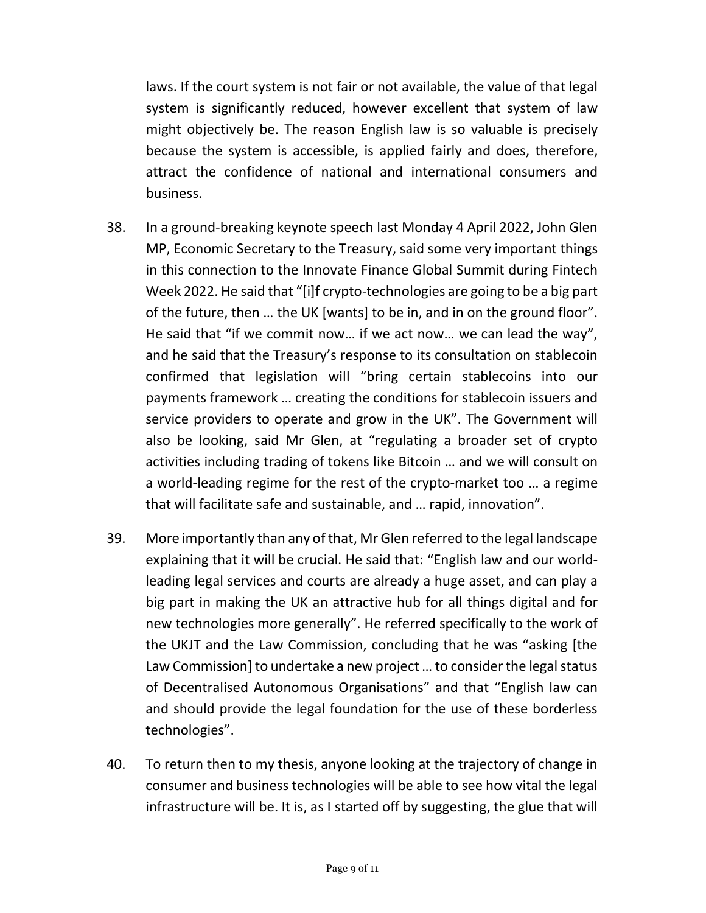laws. If the court system is not fair or not available, the value of that legal system is significantly reduced, however excellent that system of law might objectively be. The reason English law is so valuable is precisely because the system is accessible, is applied fairly and does, therefore, attract the confidence of national and international consumers and business.

- 38. In a ground-breaking keynote speech last Monday 4 April 2022, John Glen MP, Economic Secretary to the Treasury, said some very important things in this connection to the Innovate Finance Global Summit during Fintech Week 2022. He said that "[i]f crypto-technologies are going to be a big part of the future, then … the UK [wants] to be in, and in on the ground floor". He said that "if we commit now… if we act now… we can lead the way", and he said that the Treasury's response to its consultation on stablecoin confirmed that legislation will "bring certain stablecoins into our payments framework … creating the conditions for stablecoin issuers and service providers to operate and grow in the UK". The Government will also be looking, said Mr Glen, at "regulating a broader set of crypto activities including trading of tokens like Bitcoin … and we will consult on a world-leading regime for the rest of the crypto-market too … a regime that will facilitate safe and sustainable, and … rapid, innovation".
- 39. More importantly than any of that, Mr Glen referred to the legal landscape explaining that it will be crucial. He said that: "English law and our world- leading legal services and courts are already a huge asset, and can play a big part in making the UK an attractive hub for all things digital and for new technologies more generally". He referred specifically to the work of the UKJT and the Law Commission, concluding that he was "asking [the Law Commission] to undertake a new project ... to consider the legal status of Decentralised Autonomous Organisations" and that "English law can and should provide the legal foundation for the use of these borderless technologies".
- 40. To return then to my thesis, anyone looking at the trajectory of change in consumer and business technologies will be able to see how vital the legal infrastructure will be. It is, as I started off by suggesting, the glue that will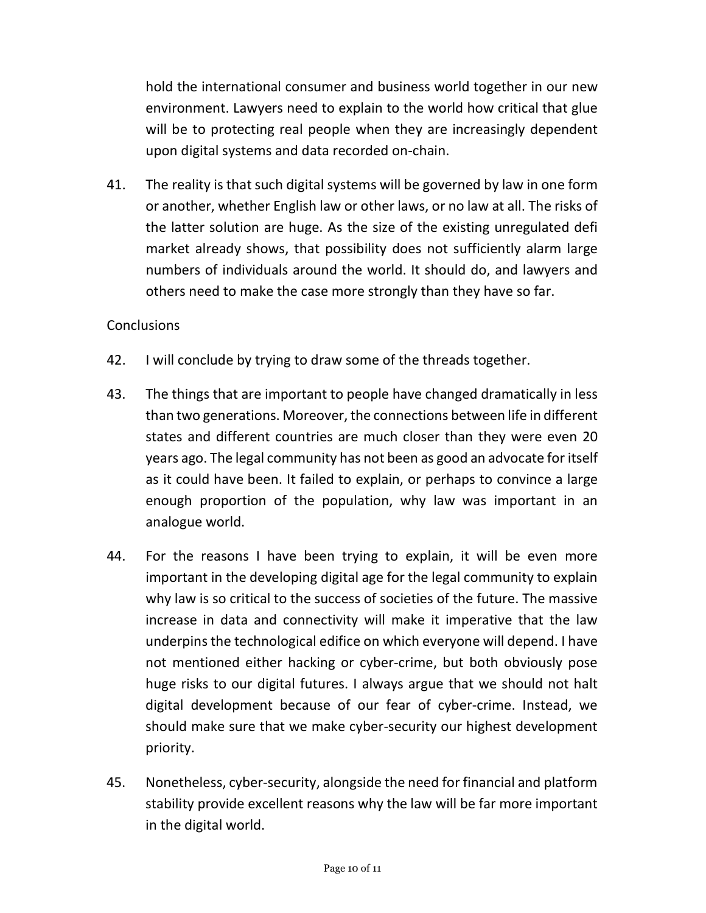hold the international consumer and business world together in our new environment. Lawyers need to explain to the world how critical that glue will be to protecting real people when they are increasingly dependent upon digital systems and data recorded on-chain.

41. The reality is that such digital systems will be governed by law in one form or another, whether English law or other laws, or no law at all. The risks of the latter solution are huge. As the size of the existing unregulated defi market already shows, that possibility does not sufficiently alarm large numbers of individuals around the world. It should do, and lawyers and others need to make the case more strongly than they have so far.

#### **Conclusions**

- 42. I will conclude by trying to draw some of the threads together.
- 43. The things that are important to people have changed dramatically in less than two generations. Moreover, the connections between life in different states and different countries are much closer than they were even 20 years ago. The legal community has not been as good an advocate for itself as it could have been. It failed to explain, or perhaps to convince a large enough proportion of the population, why law was important in an analogue world.
- 44. For the reasons I have been trying to explain, it will be even more important in the developing digital age for the legal community to explain why law is so critical to the success of societies of the future. The massive increase in data and connectivity will make it imperative that the law underpins the technological edifice on which everyone will depend. I have not mentioned either hacking or cyber-crime, but both obviously pose huge risks to our digital futures. I always argue that we should not halt digital development because of our fear of cyber-crime. Instead, we should make sure that we make cyber-security our highest development priority.
- 45. Nonetheless, cyber-security, alongside the need for financial and platform stability provide excellent reasons why the law will be far more important in the digital world.